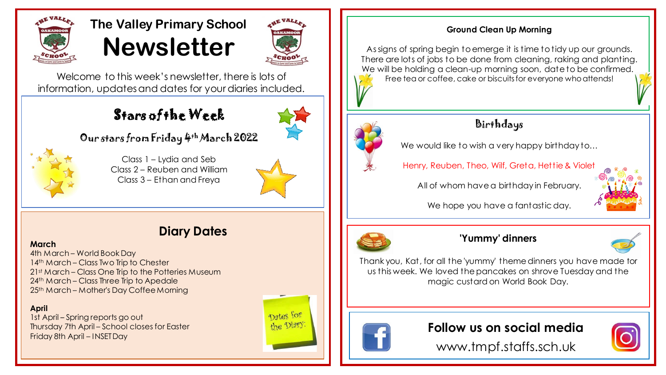

# **The Valley Primary School Newsletter**



Welcome to this week's newsletter, there is lots of information, updates and dates for your diaries included.

# Stars of the Week



Our stars from Friday 4th March 2022



Class 1 – Lydia and Seb Class 2 – Reuben and William Class 3 – Ethan and Freya



# **Diary Dates**

### **March**

4th March – World Book Day 14<sup>th</sup> March – Class Two Trip to Chester 21st March – Class One Trip to the Potteries Museum 24<sup>th</sup> March – Class Three Trip to Apedale 25th March – Mother's Day Coffee Morning

### **April**

1st April – Spring reports go out Thursday 7th April – School closes for Easter Friday 8th April – INSET Day



### **Ground Clean Up Morning**

As signs of spring begin to emerge it is time to tidy up our grounds. There are lots of jobs to be done from cleaning, raking and planting. We will be holding a clean-up morning soon, date to be confirmed. Free tea or coffee, cake or biscuits for everyone who attends!



# Birthdays

We would like to wish a very happy birthday to...

Henry, Reuben, Theo, Wilf, Greta, Hettie & Violet

All of whom have a birthday in February.



We hope you have a fantastic day.



## **'Yummy' dinners**



Thank you, Kat, for all the 'yummy' theme dinners you have made for us this week. We loved the pancakes on shrove Tuesday and the magic custard on World Book Day.



**Follow us on social media**

www.tmpf.staffs.sch.uk

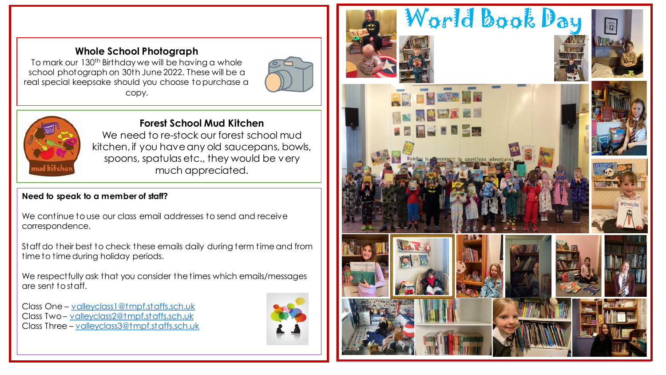## **Whole School Photograph**

To mark our 130<sup>th</sup> Birthday we will be having a whole school photograph on 30th June 2022. These will be a real special keepsake should you choose to purchase a copy.





## **Forest School Mud Kitchen**

We need to re-stock our forest school mud kitchen, if you have any old saucepans, bowls, spoons, spatulas etc., they would be very much appreciated.

## **Need to speak to a member of staff?**

We continue to use our class email addresses to send and receive correspondence.

Staff do their best to check these emails daily during term time and from time to time during holiday periods.

We respect fully ask that you consider the times which emails/messages are sent to staff.

Class One – [valleyclass1@tmpf.staffs.sch.uk](mailto:valleyclass1@tmpf.staffs.sch.uk) Class Two – [valleyclass2@tmpf.staffs.sch.uk](mailto:valleyclass2@tmpf.staffs.sch.uk) Class Three – [valleyclass3@tmpf.staffs.sch.uk](mailto:valleyclass3@tmpf.staffs.sch.uk)